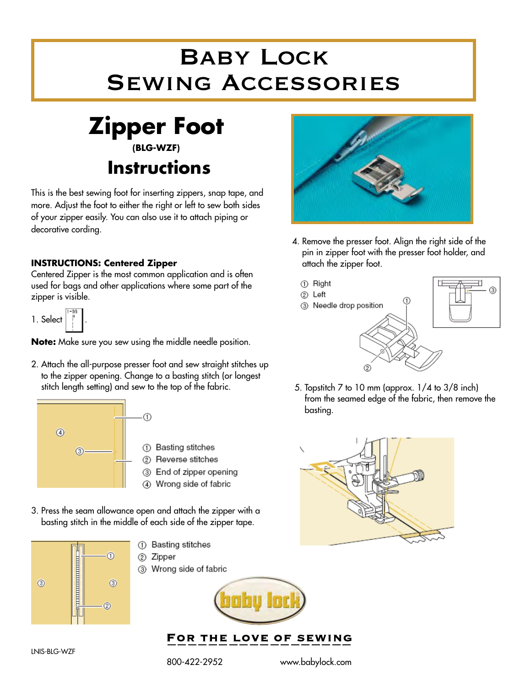## Baby Lock Sewing Accessories



This is the best sewing foot for inserting zippers, snap tape, and more. Adjust the foot to either the right or left to sew both sides of your zipper easily. You can also use it to attach piping or decorative cording.

## **INSTRUCTIONS: Centered Zipper**

Centered Zipper is the most common application and is often used for bags and other applications where some part of the zipper is visible.

1. Select .

**Note:** Make sure you sew using the middle needle position.

2. Attach the all-purpose presser foot and sew straight stitches up to the zipper opening. Change to a basting stitch (or longest stitch length setting) and sew to the top of the fabric.



- 1 Basting stitches
- 2 Reverse stitches
- 3 End of zipper opening
- 4) Wrong side of fabric
- 3. Press the seam allowance open and attach the zipper with a basting stitch in the middle of each side of the zipper tape.



- 1) Basting stitches 2 Zipper
- 3 Wrong side of fabric



FOR THE LOVE OF SEWING

800-422-2952 www.babylock.com



- 4. Remove the presser foot. Align the right side of the pin in zipper foot with the presser foot holder, and attach the zipper foot.
	- 1 Right
	- 2 Left
	- 3 Needle drop position



 5. Topstitch 7 to 10 mm (approx. 1/4 to 3/8 inch) from the seamed edge of the fabric, then remove the basting.